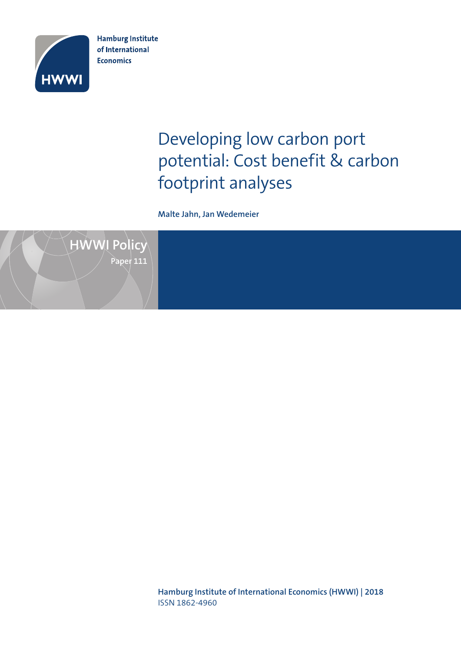

**Hamburg Institute** of International **Economics** 

# Developing low carbon port potential: Cost benefit & carbon footprint analyses

**Malte Jahn, Jan Wedemeier**



**Hamburg Institute of International Economics (HWWI) | 2018** ISSN 1862-4960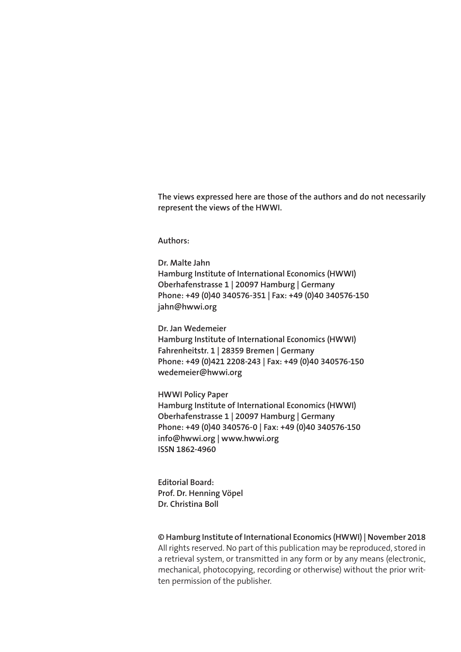**The views expressed here are those of the authors and do not necessarily represent the views of the HWWI.**

**Authors:**

**Dr. Malte Jahn Hamburg Institute of International Economics (HWWI) Oberhafenstrasse 1 | 20097 Hamburg | Germany Phone: +49 (0)40 340576-351 | Fax: +49 (0)40 340576-150 jahn@hwwi.org**

**Dr. Jan Wedemeier Hamburg Institute of International Economics (HWWI) Fahrenheitstr. 1 | 28359 Bremen | Germany Phone: +49 (0)421 2208-243 | Fax: +49 (0)40 340576-150 wedemeier@hwwi.org**

**HWWI Policy Paper Hamburg Institute of International Economics (HWWI) Oberhafenstrasse 1 | 20097 Hamburg | Germany Phone: +49 (0)40 340576-0 | Fax: +49 (0)40 340576-150 info@hwwi.org | www.hwwi.org ISSN 1862-4960**

**Editorial Board: Prof. Dr. Henning Vöpel Dr. Christina Boll**

**© Hamburg Institute of International Economics (HWWI) | November 2018**

All rights reserved. No part of this publication may be reproduced, stored in a retrieval system, or transmitted in any form or by any means (electronic, mechanical, photocopying, recording or otherwise) without the prior written permission of the publisher.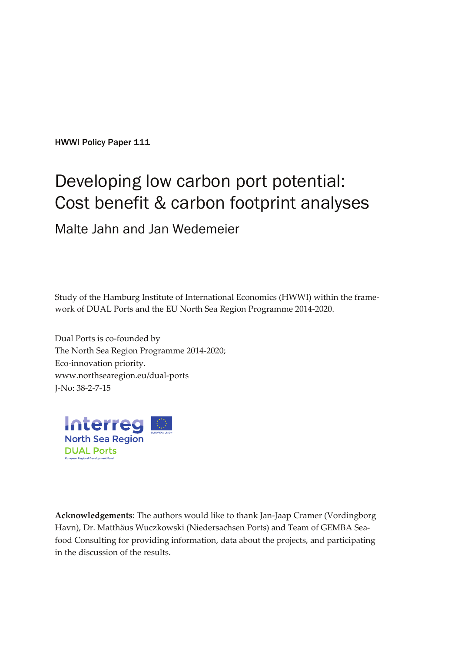HWWI Policy Paper 111

# Developing low carbon port potential: Cost benefit & carbon footprint analyses Malte Jahn and Jan Wedemeier

Study of the Hamburg Institute of International Economics (HWWI) within the framework of DUAL Ports and the EU North Sea Region Programme 2014-2020.

Dual Ports is co-founded by The North Sea Region Programme 2014-2020; Eco-innovation priority. [www.northsearegion.eu/dual-ports](http://www.northsearegion.eu/dual-ports) J-No: 38-2-7-15



**Acknowledgements**: The authors would like to thank Jan-Jaap Cramer (Vordingborg Havn), Dr. Matthäus Wuczkowski (Niedersachsen Ports) and Team of GEMBA Seafood Consulting for providing information, data about the projects, and participating in the discussion of the results.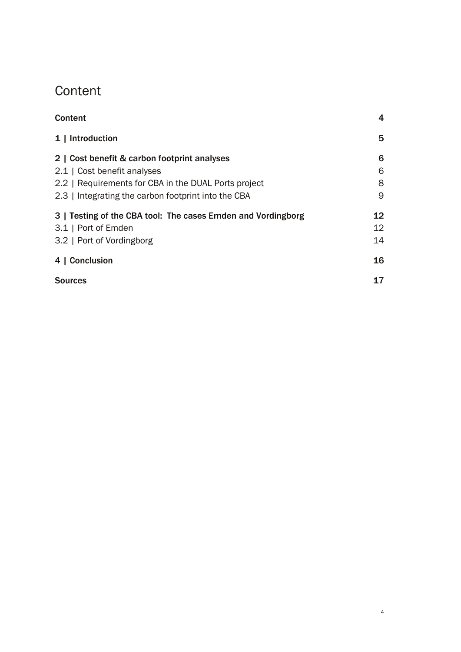# <span id="page-3-0"></span>**Content**

| Content                                                      | 4  |
|--------------------------------------------------------------|----|
| 1   Introduction                                             | 5  |
| 2   Cost benefit & carbon footprint analyses                 | 6  |
| 2.1   Cost benefit analyses                                  | 6  |
| 2.2   Requirements for CBA in the DUAL Ports project         | 8  |
| 2.3   Integrating the carbon footprint into the CBA          | 9  |
| 3   Testing of the CBA tool: The cases Emden and Vordingborg | 12 |
| 3.1   Port of Emden                                          | 12 |
| 3.2   Port of Vordingborg                                    | 14 |
| 4   Conclusion                                               | 16 |
| <b>Sources</b>                                               | 17 |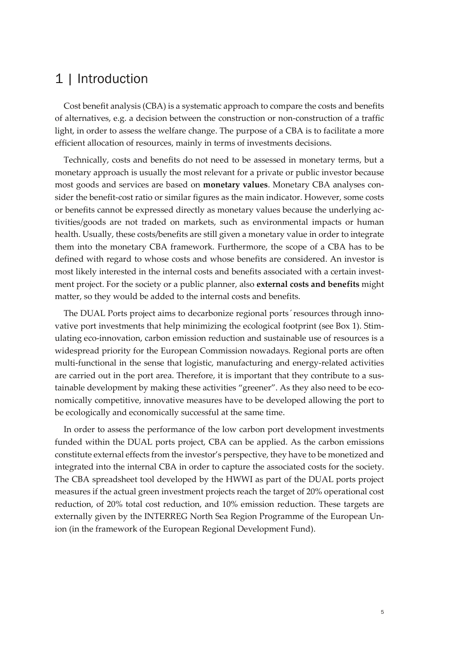# <span id="page-4-0"></span>1 | Introduction

Cost benefit analysis (CBA) is a systematic approach to compare the costs and benefits of alternatives, e.g. a decision between the construction or non-construction of a traffic light, in order to assess the welfare change. The purpose of a CBA is to facilitate a more efficient allocation of resources, mainly in terms of investments decisions.

Technically, costs and benefits do not need to be assessed in monetary terms, but a monetary approach is usually the most relevant for a private or public investor because most goods and services are based on **monetary values**. Monetary CBA analyses consider the benefit-cost ratio or similar figures as the main indicator. However, some costs or benefits cannot be expressed directly as monetary values because the underlying activities/goods are not traded on markets, such as environmental impacts or human health. Usually, these costs/benefits are still given a monetary value in order to integrate them into the monetary CBA framework. Furthermore, the scope of a CBA has to be defined with regard to whose costs and whose benefits are considered. An investor is most likely interested in the internal costs and benefits associated with a certain investment project. For the society or a public planner, also **external costs and benefits** might matter, so they would be added to the internal costs and benefits.

The DUAL Ports project aims to decarbonize regional ports ́ resources through innovative port investments that help minimizing the ecological footprint (see Box 1). Stimulating eco-innovation, carbon emission reduction and sustainable use of resources is a widespread priority for the European Commission nowadays. Regional ports are often multi-functional in the sense that logistic, manufacturing and energy-related activities are carried out in the port area. Therefore, it is important that they contribute to a sustainable development by making these activities "greener". As they also need to be economically competitive, innovative measures have to be developed allowing the port to be ecologically and economically successful at the same time.

In order to assess the performance of the low carbon port development investments funded within the DUAL ports project, CBA can be applied. As the carbon emissions constitute external effects from the investor's perspective, they have to be monetized and integrated into the internal CBA in order to capture the associated costs for the society. The CBA spreadsheet tool developed by the HWWI as part of the DUAL ports project measures if the actual green investment projects reach the target of 20% operational cost reduction, of 20% total cost reduction, and 10% emission reduction. These targets are externally given by the INTERREG North Sea Region Programme of the European Union (in the framework of the European Regional Development Fund).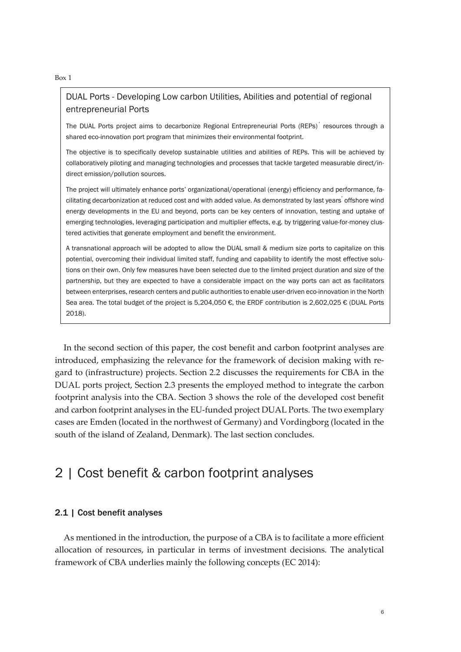#### Box 1

#### DUAL Ports - Developing Low carbon Utilities, Abilities and potential of regional entrepreneurial Ports

The DUAL Ports project aims to decarbonize Regional Entrepreneurial Ports (REPs) ́ resources through a shared eco-innovation port program that minimizes their environmental footprint.

The objective is to specifically develop sustainable utilities and abilities of REPs. This will be achieved by collaboratively piloting and managing technologies and processes that tackle targeted measurable direct/indirect emission/pollution sources.

The project will ultimately enhance ports' organizational/operational (energy) efficiency and performance, facilitating decarbonization at reduced cost and with added value. As demonstrated by last years ́offshore wind energy developments in the EU and beyond, ports can be key centers of innovation, testing and uptake of emerging technologies, leveraging participation and multiplier effects, e.g. by triggering value-for-money clustered activities that generate employment and benefit the environment.

A transnational approach will be adopted to allow the DUAL small & medium size ports to capitalize on this potential, overcoming their individual limited staff, funding and capability to identify the most effective solutions on their own. Only few measures have been selected due to the limited project duration and size of the partnership, but they are expected to have a considerable impact on the way ports can act as facilitators between enterprises, research centers and public authorities to enable user-driven eco-innovation in the North Sea area. The total budget of the project is 5,204,050 €, the ERDF contribution is 2,602,025 € (DUAL Ports 2018).

In the second section of this paper, the cost benefit and carbon footprint analyses are introduced, emphasizing the relevance for the framework of decision making with regard to (infrastructure) projects. Section 2.2 discusses the requirements for CBA in the DUAL ports project, Section 2.3 presents the employed method to integrate the carbon footprint analysis into the CBA. Section 3 shows the role of the developed cost benefit and carbon footprint analyses in the EU-funded project DUAL Ports. The two exemplary cases are Emden (located in the northwest of Germany) and Vordingborg (located in the south of the island of Zealand, Denmark). The last section concludes.

## <span id="page-5-0"></span>2 | Cost benefit & carbon footprint analyses

#### <span id="page-5-1"></span>2.1 | Cost benefit analyses

As mentioned in the introduction, the purpose of a CBA is to facilitate a more efficient allocation of resources, in particular in terms of investment decisions. The analytical framework of CBA underlies mainly the following concepts (EC 2014):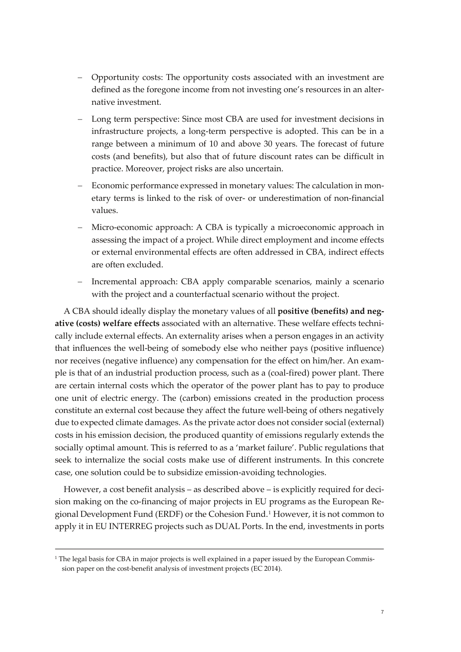- − Opportunity costs: The opportunity costs associated with an investment are defined as the foregone income from not investing one's resources in an alternative investment.
- Long term perspective: Since most CBA are used for investment decisions in infrastructure projects, a long-term perspective is adopted. This can be in a range between a minimum of 10 and above 30 years. The forecast of future costs (and benefits), but also that of future discount rates can be difficult in practice. Moreover, project risks are also uncertain.
- Economic performance expressed in monetary values: The calculation in monetary terms is linked to the risk of over- or underestimation of non-financial values.
- Micro-economic approach: A CBA is typically a microeconomic approach in assessing the impact of a project. While direct employment and income effects or external environmental effects are often addressed in CBA, indirect effects are often excluded.
- Incremental approach: CBA apply comparable scenarios, mainly a scenario with the project and a counterfactual scenario without the project.

A CBA should ideally display the monetary values of all **positive (benefits) and negative (costs) welfare effects** associated with an alternative. These welfare effects technically include external effects. An externality arises when a person engages in an activity that influences the well-being of somebody else who neither pays (positive influence) nor receives (negative influence) any compensation for the effect on him/her. An example is that of an industrial production process, such as a (coal-fired) power plant. There are certain internal costs which the operator of the power plant has to pay to produce one unit of electric energy. The (carbon) emissions created in the production process constitute an external cost because they affect the future well-being of others negatively due to expected climate damages. As the private actor does not consider social (external) costs in his emission decision, the produced quantity of emissions regularly extends the socially optimal amount. This is referred to as a 'market failure'. Public regulations that seek to internalize the social costs make use of different instruments. In this concrete case, one solution could be to subsidize emission-avoiding technologies.

However, a cost benefit analysis – as described above – is explicitly required for decision making on the co-financing of major projects in EU programs as the European Regional Development Fund (ERDF) or the Cohesion Fund.[1](#page-6-0) However, it is not common to apply it in EU INTERREG projects such as DUAL Ports. In the end, investments in ports

<span id="page-6-0"></span><sup>&</sup>lt;sup>1</sup> The legal basis for CBA in major projects is well explained in a paper issued by the European Commission paper on the cost-benefit analysis of investment projects (EC 2014).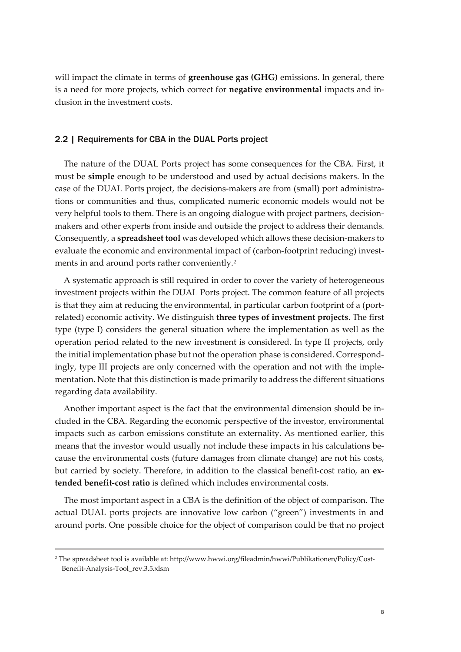will impact the climate in terms of **greenhouse gas (GHG)** emissions. In general, there is a need for more projects, which correct for **negative environmental** impacts and inclusion in the investment costs.

#### <span id="page-7-0"></span>2.2 | Requirements for CBA in the DUAL Ports project

The nature of the DUAL Ports project has some consequences for the CBA. First, it must be **simple** enough to be understood and used by actual decisions makers. In the case of the DUAL Ports project, the decisions-makers are from (small) port administrations or communities and thus, complicated numeric economic models would not be very helpful tools to them. There is an ongoing dialogue with project partners, decisionmakers and other experts from inside and outside the project to address their demands. Consequently, a **spreadsheet tool** was developed which allows these decision-makers to evaluate the economic and environmental impact of (carbon-footprint reducing) invest-ments in and around ports rather conveniently.<sup>[2](#page-7-1)</sup>

A systematic approach is still required in order to cover the variety of heterogeneous investment projects within the DUAL Ports project. The common feature of all projects is that they aim at reducing the environmental, in particular carbon footprint of a (portrelated) economic activity. We distinguish **three types of investment projects**. The first type (type I) considers the general situation where the implementation as well as the operation period related to the new investment is considered. In type II projects, only the initial implementation phase but not the operation phase is considered. Correspondingly, type III projects are only concerned with the operation and not with the implementation. Note that this distinction is made primarily to address the different situations regarding data availability.

Another important aspect is the fact that the environmental dimension should be included in the CBA. Regarding the economic perspective of the investor, environmental impacts such as carbon emissions constitute an externality. As mentioned earlier, this means that the investor would usually not include these impacts in his calculations because the environmental costs (future damages from climate change) are not his costs, but carried by society. Therefore, in addition to the classical benefit-cost ratio, an **extended benefit-cost ratio** is defined which includes environmental costs.

The most important aspect in a CBA is the definition of the object of comparison. The actual DUAL ports projects are innovative low carbon ("green") investments in and around ports. One possible choice for the object of comparison could be that no project

<span id="page-7-1"></span><sup>2</sup> The spreadsheet tool is available at: http://www.hwwi.org/fileadmin/hwwi/Publikationen/Policy/Cost-Benefit-Analysis-Tool\_rev.3.5.xlsm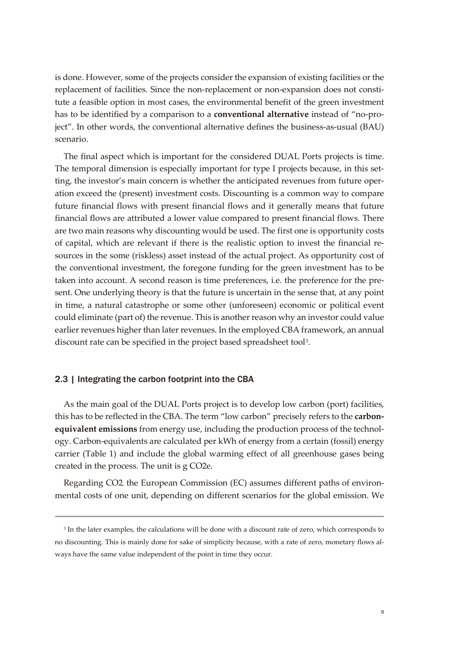is done. However, some of the projects consider the expansion of existing facilities or the replacement of facilities. Since the non-replacement or non-expansion does not constitute a feasible option in most cases, the environmental benefit of the green investment has to be identified by a comparison to a **conventional alternative** instead of "no-project". In other words, the conventional alternative defines the business-as-usual (BAU) scenario.

The final aspect which is important for the considered DUAL Ports projects is time. The temporal dimension is especially important for type I projects because, in this setting, the investor's main concern is whether the anticipated revenues from future operation exceed the (present) investment costs. Discounting is a common way to compare future financial flows with present financial flows and it generally means that future financial flows are attributed a lower value compared to present financial flows. There are two main reasons why discounting would be used. The first one is opportunity costs of capital, which are relevant if there is the realistic option to invest the financial resources in the some (riskless) asset instead of the actual project. As opportunity cost of the conventional investment, the foregone funding for the green investment has to be taken into account. A second reason is time preferences, i.e. the preference for the present. One underlying theory is that the future is uncertain in the sense that, at any point in time, a natural catastrophe or some other (unforeseen) economic or political event could eliminate (part of) the revenue. This is another reason why an investor could value earlier revenues higher than later revenues. In the employed CBA framework, an annual discount rate can be specified in the project based spreadsheet tool<sup>[3](#page-8-1)</sup>.

#### <span id="page-8-0"></span>2.3 | Integrating the carbon footprint into the CBA

As the main goal of the DUAL Ports project is to develop low carbon (port) facilities, this has to be reflected in the CBA. The term "low carbon" precisely refers to the **carbonequivalent emissions** from energy use, including the production process of the technology. Carbon-equivalents are calculated per kWh of energy from a certain (fossil) energy carrier (Table 1) and include the global warming effect of all greenhouse gases being created in the process. The unit is g CO2e.

Regarding CO2, the European Commission (EC) assumes different paths of environmental costs of one unit, depending on different scenarios for the global emission. We

<span id="page-8-1"></span><sup>&</sup>lt;sup>3</sup> In the later examples, the calculations will be done with a discount rate of zero, which corresponds to no discounting. This is mainly done for sake of simplicity because, with a rate of zero, monetary flows always have the same value independent of the point in time they occur.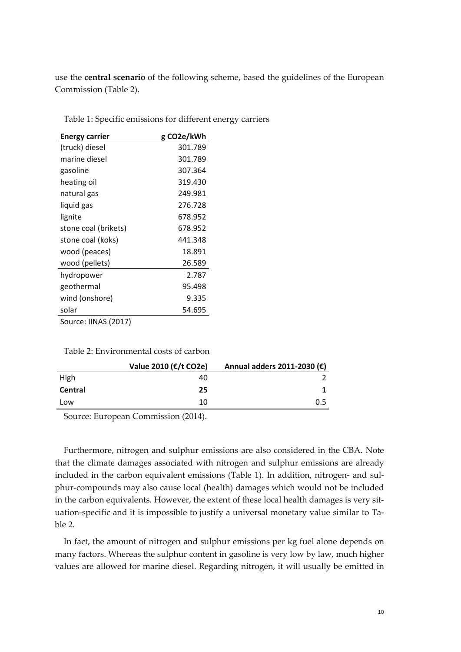use the **central scenario** of the following scheme, based the guidelines of the European Commission (Table 2).

| <b>Energy carrier</b> | g CO2e/kWh |
|-----------------------|------------|
| (truck) diesel        | 301.789    |
| marine diesel         | 301.789    |
| gasoline              | 307.364    |
| heating oil           | 319.430    |
| natural gas           | 249.981    |
| liquid gas            | 276.728    |
| lignite               | 678.952    |
| stone coal (brikets)  | 678.952    |
| stone coal (koks)     | 441.348    |
| wood (peaces)         | 18.891     |
| wood (pellets)        | 26.589     |
| hydropower            | 2.787      |
| geothermal            | 95.498     |
| wind (onshore)        | 9.335      |
| solar                 | 54.695     |
| Source: IINAS (2017)  |            |

Table 1: Specific emissions for different energy carriers

Table 2: Environmental costs of carbon

|                | Value 2010 (€/t CO2e) | Annual adders 2011-2030 (€) |
|----------------|-----------------------|-----------------------------|
| High           | 40                    |                             |
| <b>Central</b> | 25                    |                             |
| Low            | 10                    | 0.5                         |

Source: European Commission (2014).

Furthermore, nitrogen and sulphur emissions are also considered in the CBA. Note that the climate damages associated with nitrogen and sulphur emissions are already included in the carbon equivalent emissions (Table 1). In addition, nitrogen- and sulphur-compounds may also cause local (health) damages which would not be included in the carbon equivalents. However, the extent of these local health damages is very situation-specific and it is impossible to justify a universal monetary value similar to Table 2.

In fact, the amount of nitrogen and sulphur emissions per kg fuel alone depends on many factors. Whereas the sulphur content in gasoline is very low by law, much higher values are allowed for marine diesel. Regarding nitrogen, it will usually be emitted in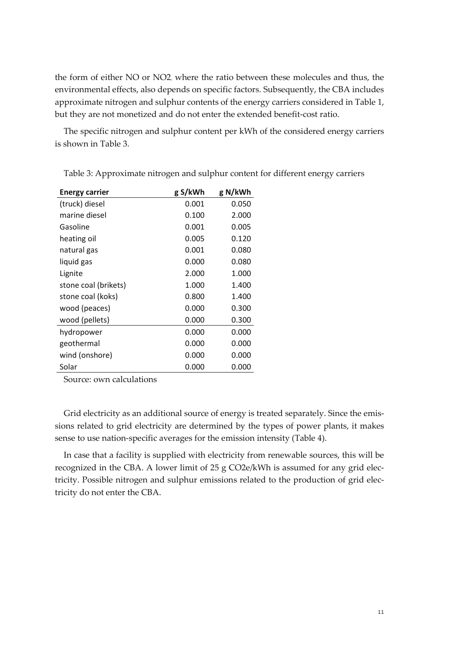the form of either NO or NO2, where the ratio between these molecules and thus, the environmental effects, also depends on specific factors. Subsequently, the CBA includes approximate nitrogen and sulphur contents of the energy carriers considered in Table 1, but they are not monetized and do not enter the extended benefit-cost ratio.

The specific nitrogen and sulphur content per kWh of the considered energy carriers is shown in Table 3.

| <b>Energy carrier</b> | g S/kWh | g N/kWh |
|-----------------------|---------|---------|
| (truck) diesel        | 0.001   | 0.050   |
| marine diesel         | 0.100   | 2.000   |
| Gasoline              | 0.001   | 0.005   |
| heating oil           | 0.005   | 0.120   |
| natural gas           | 0.001   | 0.080   |
| liquid gas            | 0.000   | 0.080   |
| Lignite               | 2.000   | 1.000   |
| stone coal (brikets)  | 1.000   | 1.400   |
| stone coal (koks)     | 0.800   | 1.400   |
| wood (peaces)         | 0.000   | 0.300   |
| wood (pellets)        | 0.000   | 0.300   |
| hydropower            | 0.000   | 0.000   |
| geothermal            | 0.000   | 0.000   |
| wind (onshore)        | 0.000   | 0.000   |
| Solar                 | 0.000   | 0.000   |

Table 3: Approximate nitrogen and sulphur content for different energy carriers

Source: own calculations

Grid electricity as an additional source of energy is treated separately. Since the emissions related to grid electricity are determined by the types of power plants, it makes sense to use nation-specific averages for the emission intensity (Table 4).

In case that a facility is supplied with electricity from renewable sources, this will be recognized in the CBA. A lower limit of 25 g CO2e/kWh is assumed for any grid electricity. Possible nitrogen and sulphur emissions related to the production of grid electricity do not enter the CBA.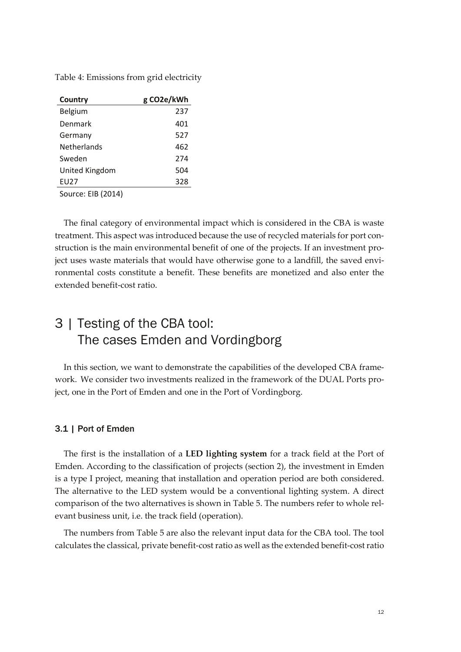Table 4: Emissions from grid electricity

| Country            | g CO2e/kWh |
|--------------------|------------|
| Belgium            | 237        |
| Denmark            | 401        |
| Germany            | 527        |
| <b>Netherlands</b> | 462        |
| Sweden             | 274        |
| United Kingdom     | 504        |
| EU27               | 328        |

Source: EIB (2014)

The final category of environmental impact which is considered in the CBA is waste treatment. This aspect was introduced because the use of recycled materials for port construction is the main environmental benefit of one of the projects. If an investment project uses waste materials that would have otherwise gone to a landfill, the saved environmental costs constitute a benefit. These benefits are monetized and also enter the extended benefit-cost ratio.

# <span id="page-11-0"></span>3 | Testing of the CBA tool: The cases Emden and Vordingborg

In this section, we want to demonstrate the capabilities of the developed CBA framework. We consider two investments realized in the framework of the DUAL Ports project, one in the Port of Emden and one in the Port of Vordingborg.

#### <span id="page-11-1"></span>3.1 | Port of Emden

The first is the installation of a **LED lighting system** for a track field at the Port of Emden. According to the classification of projects (section 2), the investment in Emden is a type I project, meaning that installation and operation period are both considered. The alternative to the LED system would be a conventional lighting system. A direct comparison of the two alternatives is shown in Table 5. The numbers refer to whole relevant business unit, i.e. the track field (operation).

The numbers from Table 5 are also the relevant input data for the CBA tool. The tool calculates the classical, private benefit-cost ratio as well as the extended benefit-cost ratio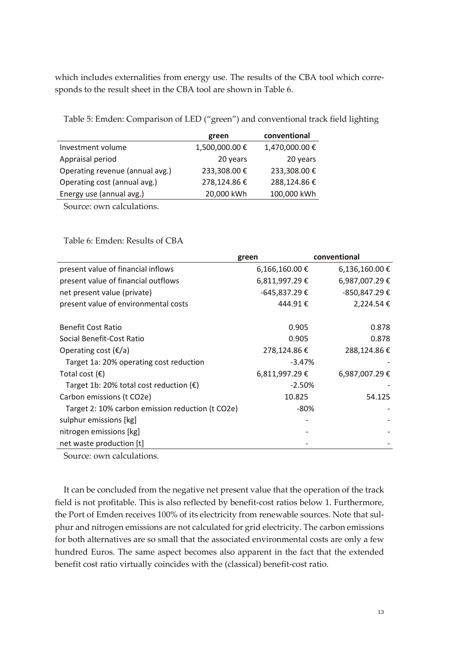which includes externalities from energy use. The results of the CBA tool which corresponds to the result sheet in the CBA tool are shown in Table 6.

Table 5: Emden: Comparison of LED ("green") and conventional track field lighting

|                                 | green         | conventional  |
|---------------------------------|---------------|---------------|
| Investment volume               | 1,500,000.00€ | 1,470,000.00€ |
| Appraisal period                | 20 years      | 20 years      |
| Operating revenue (annual avg.) | 233,308.00 €  | 233,308.00€   |
| Operating cost (annual avg.)    | 278,124.86€   | 288,124.86€   |
| Energy use (annual avg.)        | 20,000 kWh    | 100,000 kWh   |

Source: own calculations.

Table 6: Emden: Results of CBA

|                                                  | green              | conventional       |
|--------------------------------------------------|--------------------|--------------------|
| present value of financial inflows               | $6,166,160.00 \in$ | $6,136,160.00 \in$ |
| present value of financial outflows              | 6,811,997.29€      | 6,987,007.29€      |
| net present value (private)                      | $-645,837.29$ €    | -850,847.29€       |
| present value of environmental costs             | 444.91€            | 2,224.54 €         |
| <b>Benefit Cost Ratio</b>                        | 0.905              | 0.878              |
| Social Benefit-Cost Ratio                        | 0.905              | 0.878              |
| Operating cost $(\epsilon/a)$                    | 278,124.86€        | 288,124.86€        |
| Target 1a: 20% operating cost reduction          | $-3.47%$           |                    |
| Total cost $(\epsilon)$                          | 6,811,997.29€      | 6,987,007.29€      |
| Target 1b: 20% total cost reduction $(\epsilon)$ | $-2.50%$           |                    |
| Carbon emissions (t CO2e)                        | 10.825             | 54.125             |
| Target 2: 10% carbon emission reduction (t CO2e) | -80%               |                    |
| sulphur emissions [kg]                           |                    |                    |
| nitrogen emissions [kg]                          |                    |                    |
| net waste production [t]                         |                    |                    |

Source: own calculations.

It can be concluded from the negative net present value that the operation of the track field is not profitable. This is also reflected by benefit-cost ratios below 1. Furthermore, the Port of Emden receives 100% of its electricity from renewable sources. Note that sulphur and nitrogen emissions are not calculated for grid electricity. The carbon emissions for both alternatives are so small that the associated environmental costs are only a few hundred Euros. The same aspect becomes also apparent in the fact that the extended benefit cost ratio virtually coincides with the (classical) benefit-cost ratio.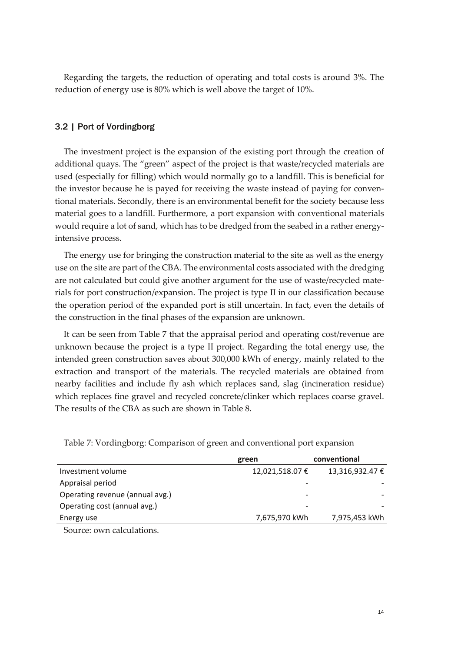Regarding the targets, the reduction of operating and total costs is around 3%. The reduction of energy use is 80% which is well above the target of 10%.

#### <span id="page-13-0"></span>3.2 | Port of Vordingborg

The investment project is the expansion of the existing port through the creation of additional quays. The "green" aspect of the project is that waste/recycled materials are used (especially for filling) which would normally go to a landfill. This is beneficial for the investor because he is payed for receiving the waste instead of paying for conventional materials. Secondly, there is an environmental benefit for the society because less material goes to a landfill. Furthermore, a port expansion with conventional materials would require a lot of sand, which has to be dredged from the seabed in a rather energyintensive process.

The energy use for bringing the construction material to the site as well as the energy use on the site are part of the CBA. The environmental costs associated with the dredging are not calculated but could give another argument for the use of waste/recycled materials for port construction/expansion. The project is type II in our classification because the operation period of the expanded port is still uncertain. In fact, even the details of the construction in the final phases of the expansion are unknown.

It can be seen from Table 7 that the appraisal period and operating cost/revenue are unknown because the project is a type II project. Regarding the total energy use, the intended green construction saves about 300,000 kWh of energy, mainly related to the extraction and transport of the materials. The recycled materials are obtained from nearby facilities and include fly ash which replaces sand, slag (incineration residue) which replaces fine gravel and recycled concrete/clinker which replaces coarse gravel. The results of the CBA as such are shown in Table 8.

|                                 | green                    | conventional    |
|---------------------------------|--------------------------|-----------------|
| Investment volume               | 12,021,518.07 €          | 13,316,932.47 € |
| Appraisal period                | $\overline{\phantom{a}}$ |                 |
| Operating revenue (annual avg.) | $\overline{\phantom{a}}$ |                 |
| Operating cost (annual avg.)    | $\overline{\phantom{a}}$ |                 |
| Energy use                      | 7,675,970 kWh            | 7,975,453 kWh   |
|                                 |                          |                 |

Table 7: Vordingborg: Comparison of green and conventional port expansion

Source: own calculations.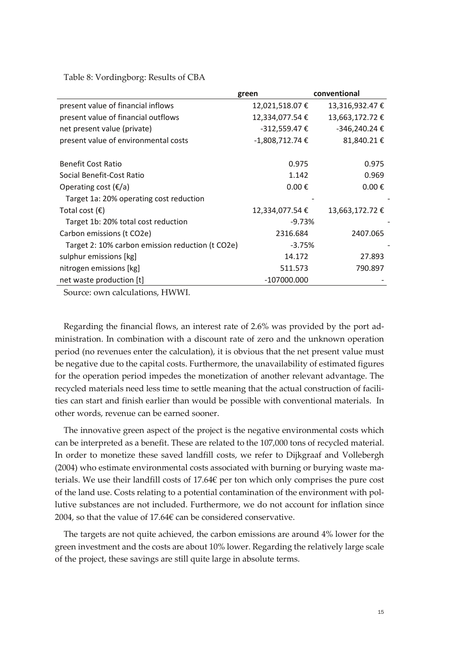Table 8: Vordingborg: Results of CBA

|                                                  | green               | conventional        |
|--------------------------------------------------|---------------------|---------------------|
| present value of financial inflows               | 12,021,518.07 €     | 13,316,932.47 €     |
| present value of financial outflows              | 12,334,077.54 €     | 13,663,172.72 €     |
| net present value (private)                      | $-312,559.47 \in$   | -346,240.24 €       |
| present value of environmental costs             | $-1,808,712.74$ €   | 81,840.21€          |
|                                                  |                     |                     |
| <b>Benefit Cost Ratio</b>                        | 0.975               | 0.975               |
| Social Benefit-Cost Ratio                        | 1.142               | 0.969               |
| Operating cost $(\epsilon/a)$                    | $0.00 \text{ } \in$ | $0.00 \text{ } \in$ |
| Target 1a: 20% operating cost reduction          |                     |                     |
| Total cost $(\epsilon)$                          | 12,334,077.54 €     | 13,663,172.72 €     |
| Target 1b: 20% total cost reduction              | $-9.73%$            |                     |
| Carbon emissions (t CO2e)                        | 2316.684            | 2407.065            |
| Target 2: 10% carbon emission reduction (t CO2e) | $-3.75%$            |                     |
| sulphur emissions [kg]                           | 14.172              | 27.893              |
| nitrogen emissions [kg]                          | 511.573             | 790.897             |
| net waste production [t]                         | -107000.000         |                     |

Source: own calculations, HWWI.

Regarding the financial flows, an interest rate of 2.6% was provided by the port administration. In combination with a discount rate of zero and the unknown operation period (no revenues enter the calculation), it is obvious that the net present value must be negative due to the capital costs. Furthermore, the unavailability of estimated figures for the operation period impedes the monetization of another relevant advantage. The recycled materials need less time to settle meaning that the actual construction of facilities can start and finish earlier than would be possible with conventional materials. In other words, revenue can be earned sooner.

The innovative green aspect of the project is the negative environmental costs which can be interpreted as a benefit. These are related to the 107,000 tons of recycled material. In order to monetize these saved landfill costs, we refer to Dijkgraaf and Vollebergh (2004) who estimate environmental costs associated with burning or burying waste materials. We use their landfill costs of 17.64€ per ton which only comprises the pure cost of the land use. Costs relating to a potential contamination of the environment with pollutive substances are not included. Furthermore, we do not account for inflation since 2004, so that the value of 17.64 $\epsilon$  can be considered conservative.

The targets are not quite achieved, the carbon emissions are around 4% lower for the green investment and the costs are about 10% lower. Regarding the relatively large scale of the project, these savings are still quite large in absolute terms.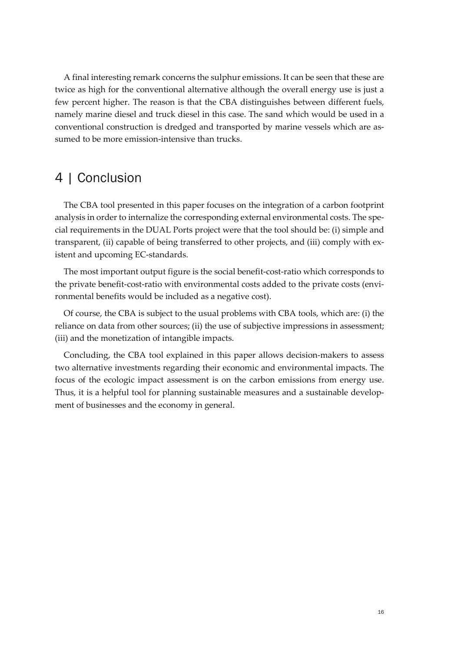A final interesting remark concerns the sulphur emissions. It can be seen that these are twice as high for the conventional alternative although the overall energy use is just a few percent higher. The reason is that the CBA distinguishes between different fuels, namely marine diesel and truck diesel in this case. The sand which would be used in a conventional construction is dredged and transported by marine vessels which are assumed to be more emission-intensive than trucks.

## <span id="page-15-0"></span>4 | Conclusion

The CBA tool presented in this paper focuses on the integration of a carbon footprint analysis in order to internalize the corresponding external environmental costs. The special requirements in the DUAL Ports project were that the tool should be: (i) simple and transparent, (ii) capable of being transferred to other projects, and (iii) comply with existent and upcoming EC-standards.

The most important output figure is the social benefit-cost-ratio which corresponds to the private benefit-cost-ratio with environmental costs added to the private costs (environmental benefits would be included as a negative cost).

Of course, the CBA is subject to the usual problems with CBA tools, which are: (i) the reliance on data from other sources; (ii) the use of subjective impressions in assessment; (iii) and the monetization of intangible impacts.

Concluding, the CBA tool explained in this paper allows decision-makers to assess two alternative investments regarding their economic and environmental impacts. The focus of the ecologic impact assessment is on the carbon emissions from energy use. Thus, it is a helpful tool for planning sustainable measures and a sustainable development of businesses and the economy in general.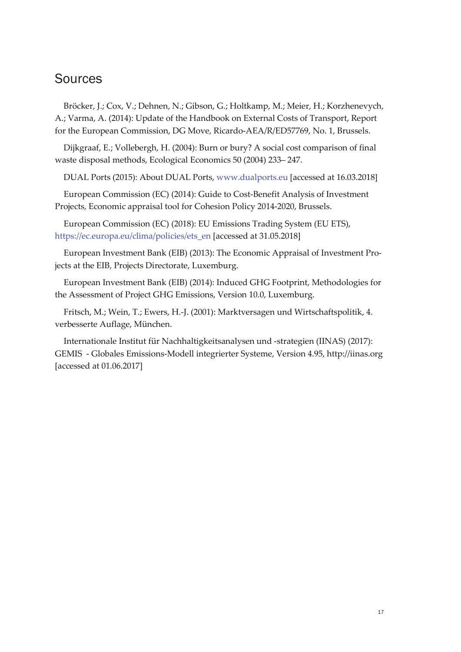## <span id="page-16-0"></span>**Sources**

Bröcker, J.; Cox, V.; Dehnen, N.; Gibson, G.; Holtkamp, M.; Meier, H.; Korzhenevych, A.; Varma, A. (2014): Update of the Handbook on External Costs of Transport, Report for the European Commission, DG Move, Ricardo-AEA/R/ED57769, No. 1, Brussels.

Dijkgraaf, E.; Vollebergh, H. (2004): Burn or bury? A social cost comparison of final waste disposal methods, Ecological Economics 50 (2004) 233– 247.

DUAL Ports (2015): About DUAL Ports[, www.dualports.eu](http://www.dualports.eu/) [accessed at 16.03.2018]

European Commission (EC) (2014): Guide to Cost-Benefit Analysis of Investment Projects, Economic appraisal tool for Cohesion Policy 2014-2020, Brussels.

European Commission (EC) (2018): EU Emissions Trading System (EU ETS), [https://ec.europa.eu/clima/policies/ets\\_en](https://ec.europa.eu/clima/policies/ets_en) [accessed at 31.05.2018]

European Investment Bank (EIB) (2013): The Economic Appraisal of Investment Projects at the EIB, Projects Directorate, Luxemburg.

European Investment Bank (EIB) (2014): Induced GHG Footprint, Methodologies for the Assessment of Project GHG Emissions, Version 10.0, Luxemburg.

Fritsch, M.; Wein, T.; Ewers, H.-J. (2001): Marktversagen und Wirtschaftspolitik, 4. verbesserte Auflage, München.

Internationale Institut für Nachhaltigkeitsanalysen und -strategien (IINAS) (2017): GEMIS - Globales Emissions-Modell integrierter Systeme, Version 4.95, http://iinas.org [accessed at 01.06.2017]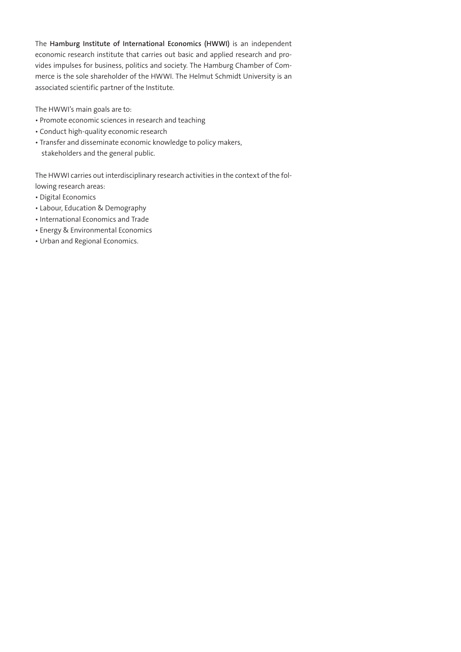The **Hamburg Institute of International Economics (HWWI)** is an independent economic research institute that carries out basic and applied research and provides impulses for business, politics and society. The Hamburg Chamber of Commerce is the sole shareholder of the HWWI. The Helmut Schmidt University is an associated scientific partner of the Institute.

The HWWI's main goals are to:

- Promote economic sciences in research and teaching
- Conduct high-quality economic research
- Transfer and disseminate economic knowledge to policy makers, stakeholders and the general public.

The HWWI carries out interdisciplinary research activities in the context of the following research areas:

- Digital Economics
- Labour, Education & Demography
- International Economics and Trade
- Energy & Environmental Economics
- Urban and Regional Economics.